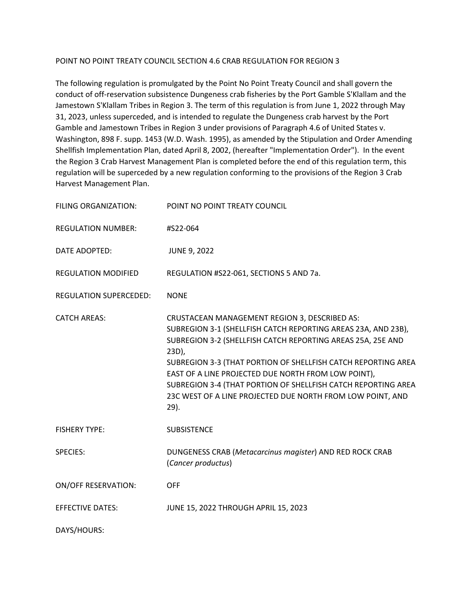## POINT NO POINT TREATY COUNCIL SECTION 4.6 CRAB REGULATION FOR REGION 3

The following regulation is promulgated by the Point No Point Treaty Council and shall govern the conduct of off-reservation subsistence Dungeness crab fisheries by the Port Gamble S'Klallam and the Jamestown S'Klallam Tribes in Region 3. The term of this regulation is from June 1, 2022 through May 31, 2023, unless superceded, and is intended to regulate the Dungeness crab harvest by the Port Gamble and Jamestown Tribes in Region 3 under provisions of Paragraph 4.6 of United States v. Washington, 898 F. supp. 1453 (W.D. Wash. 1995), as amended by the Stipulation and Order Amending Shellfish Implementation Plan, dated April 8, 2002, (hereafter "Implementation Order"). In the event the Region 3 Crab Harvest Management Plan is completed before the end of this regulation term, this regulation will be superceded by a new regulation conforming to the provisions of the Region 3 Crab Harvest Management Plan.

| <b>FILING ORGANIZATION:</b> | POINT NO POINT TREATY COUNCIL                                                                                                                                                                                                                                                                                                                                                                                                                            |
|-----------------------------|----------------------------------------------------------------------------------------------------------------------------------------------------------------------------------------------------------------------------------------------------------------------------------------------------------------------------------------------------------------------------------------------------------------------------------------------------------|
| <b>REGULATION NUMBER:</b>   | #S22-064                                                                                                                                                                                                                                                                                                                                                                                                                                                 |
| DATE ADOPTED:               | <b>JUNE 9, 2022</b>                                                                                                                                                                                                                                                                                                                                                                                                                                      |
| <b>REGULATION MODIFIED</b>  | REGULATION #S22-061, SECTIONS 5 AND 7a.                                                                                                                                                                                                                                                                                                                                                                                                                  |
| REGULATION SUPERCEDED:      | <b>NONE</b>                                                                                                                                                                                                                                                                                                                                                                                                                                              |
| <b>CATCH AREAS:</b>         | CRUSTACEAN MANAGEMENT REGION 3, DESCRIBED AS:<br>SUBREGION 3-1 (SHELLFISH CATCH REPORTING AREAS 23A, AND 23B),<br>SUBREGION 3-2 (SHELLFISH CATCH REPORTING AREAS 25A, 25E AND<br>23D),<br>SUBREGION 3-3 (THAT PORTION OF SHELLFISH CATCH REPORTING AREA<br>EAST OF A LINE PROJECTED DUE NORTH FROM LOW POINT),<br>SUBREGION 3-4 (THAT PORTION OF SHELLFISH CATCH REPORTING AREA<br>23C WEST OF A LINE PROJECTED DUE NORTH FROM LOW POINT, AND<br>$29$ ). |
| <b>FISHERY TYPE:</b>        | <b>SUBSISTENCE</b>                                                                                                                                                                                                                                                                                                                                                                                                                                       |
| <b>SPECIES:</b>             | DUNGENESS CRAB (Metacarcinus magister) AND RED ROCK CRAB<br>(Cancer productus)                                                                                                                                                                                                                                                                                                                                                                           |
| <b>ON/OFF RESERVATION:</b>  | OFF                                                                                                                                                                                                                                                                                                                                                                                                                                                      |
| <b>EFFECTIVE DATES:</b>     | JUNE 15, 2022 THROUGH APRIL 15, 2023                                                                                                                                                                                                                                                                                                                                                                                                                     |
| DAYS/HOURS:                 |                                                                                                                                                                                                                                                                                                                                                                                                                                                          |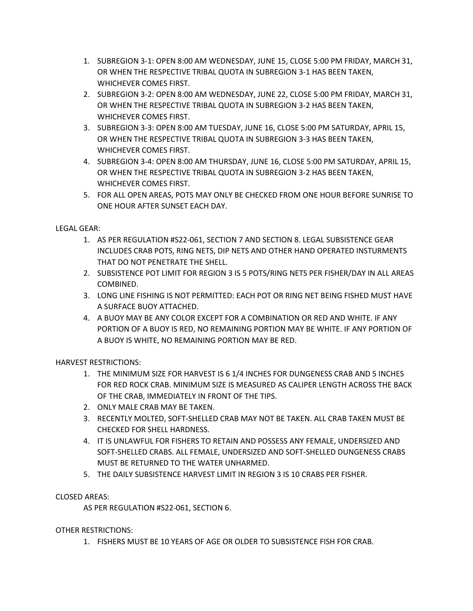- 1. SUBREGION 3-1: OPEN 8:00 AM WEDNESDAY, JUNE 15, CLOSE 5:00 PM FRIDAY, MARCH 31, OR WHEN THE RESPECTIVE TRIBAL QUOTA IN SUBREGION 3-1 HAS BEEN TAKEN, WHICHEVER COMES FIRST.
- 2. SUBREGION 3-2: OPEN 8:00 AM WEDNESDAY, JUNE 22, CLOSE 5:00 PM FRIDAY, MARCH 31, OR WHEN THE RESPECTIVE TRIBAL QUOTA IN SUBREGION 3-2 HAS BEEN TAKEN, WHICHEVER COMES FIRST.
- 3. SUBREGION 3-3: OPEN 8:00 AM TUESDAY, JUNE 16, CLOSE 5:00 PM SATURDAY, APRIL 15, OR WHEN THE RESPECTIVE TRIBAL QUOTA IN SUBREGION 3-3 HAS BEEN TAKEN, WHICHEVER COMES FIRST.
- 4. SUBREGION 3-4: OPEN 8:00 AM THURSDAY, JUNE 16, CLOSE 5:00 PM SATURDAY, APRIL 15, OR WHEN THE RESPECTIVE TRIBAL QUOTA IN SUBREGION 3-2 HAS BEEN TAKEN, WHICHEVER COMES FIRST.
- 5. FOR ALL OPEN AREAS, POTS MAY ONLY BE CHECKED FROM ONE HOUR BEFORE SUNRISE TO ONE HOUR AFTER SUNSET EACH DAY.

## LEGAL GEAR:

- 1. AS PER REGULATION #S22-061, SECTION 7 AND SECTION 8. LEGAL SUBSISTENCE GEAR INCLUDES CRAB POTS, RING NETS, DIP NETS AND OTHER HAND OPERATED INSTURMENTS THAT DO NOT PENETRATE THE SHELL.
- 2. SUBSISTENCE POT LIMIT FOR REGION 3 IS 5 POTS/RING NETS PER FISHER/DAY IN ALL AREAS COMBINED.
- 3. LONG LINE FISHING IS NOT PERMITTED: EACH POT OR RING NET BEING FISHED MUST HAVE A SURFACE BUOY ATTACHED.
- 4. A BUOY MAY BE ANY COLOR EXCEPT FOR A COMBINATION OR RED AND WHITE. IF ANY PORTION OF A BUOY IS RED, NO REMAINING PORTION MAY BE WHITE. IF ANY PORTION OF A BUOY IS WHITE, NO REMAINING PORTION MAY BE RED.

HARVEST RESTRICTIONS:

- 1. THE MINIMUM SIZE FOR HARVEST IS 6 1/4 INCHES FOR DUNGENESS CRAB AND 5 INCHES FOR RED ROCK CRAB. MINIMUM SIZE IS MEASURED AS CALIPER LENGTH ACROSS THE BACK OF THE CRAB, IMMEDIATELY IN FRONT OF THE TIPS.
- 2. ONLY MALE CRAB MAY BE TAKEN.
- 3. RECENTLY MOLTED, SOFT-SHELLED CRAB MAY NOT BE TAKEN. ALL CRAB TAKEN MUST BE CHECKED FOR SHELL HARDNESS.
- 4. IT IS UNLAWFUL FOR FISHERS TO RETAIN AND POSSESS ANY FEMALE, UNDERSIZED AND SOFT-SHELLED CRABS. ALL FEMALE, UNDERSIZED AND SOFT-SHELLED DUNGENESS CRABS MUST BE RETURNED TO THE WATER UNHARMED.
- 5. THE DAILY SUBSISTENCE HARVEST LIMIT IN REGION 3 IS 10 CRABS PER FISHER.

## CLOSED AREAS:

AS PER REGULATION #S22-061, SECTION 6.

OTHER RESTRICTIONS:

1. FISHERS MUST BE 10 YEARS OF AGE OR OLDER TO SUBSISTENCE FISH FOR CRAB.